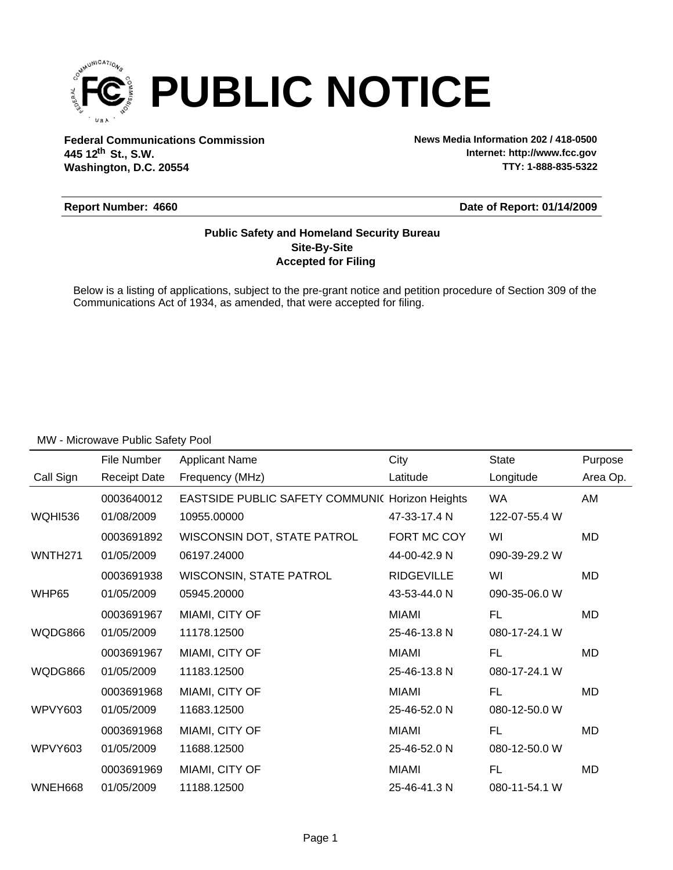

**Federal Communications Commission News Media Information 202 / 418-0500 Washington, D.C. 20554 th 445 12 St., S.W.**

**Internet: http://www.fcc.gov TTY: 1-888-835-5322**

#### **Report Number: 4660**

## **Date of Report: 01/14/2009**

## **Accepted for Filing Site-By-Site Public Safety and Homeland Security Bureau**

Below is a listing of applications, subject to the pre-grant notice and petition procedure of Section 309 of the Communications Act of 1934, as amended, that were accepted for filing.

|                     | File Number         | <b>Applicant Name</b>                                  | City              | <b>State</b>  | Purpose  |
|---------------------|---------------------|--------------------------------------------------------|-------------------|---------------|----------|
| Call Sign           | <b>Receipt Date</b> | Frequency (MHz)                                        | Latitude          | Longitude     | Area Op. |
|                     | 0003640012          | <b>EASTSIDE PUBLIC SAFETY COMMUNIC Horizon Heights</b> |                   | <b>WA</b>     | AM       |
| <b>WQHI536</b>      | 01/08/2009          | 10955.00000                                            | 47-33-17.4 N      | 122-07-55.4 W |          |
|                     | 0003691892          | WISCONSIN DOT, STATE PATROL                            | FORT MC COY       | WI            | MD       |
| WNTH <sub>271</sub> | 01/05/2009          | 06197.24000                                            | 44-00-42.9 N      | 090-39-29.2 W |          |
|                     | 0003691938          | <b>WISCONSIN, STATE PATROL</b>                         | <b>RIDGEVILLE</b> | WI            | MD       |
| WHP65               | 01/05/2009          | 05945.20000                                            | 43-53-44.0 N      | 090-35-06.0 W |          |
|                     | 0003691967          | MIAMI, CITY OF                                         | MIAMI             | FL.           | MD       |
| WQDG866             | 01/05/2009          | 11178.12500                                            | 25-46-13.8 N      | 080-17-24.1 W |          |
|                     | 0003691967          | MIAMI, CITY OF                                         | MIAMI             | <b>FL</b>     | MD       |
| WQDG866             | 01/05/2009          | 11183.12500                                            | 25-46-13.8 N      | 080-17-24.1 W |          |
|                     | 0003691968          | MIAMI, CITY OF                                         | <b>MIAMI</b>      | FL.           | MD       |
| WPVY603             | 01/05/2009          | 11683.12500                                            | 25-46-52.0 N      | 080-12-50.0 W |          |
|                     | 0003691968          | MIAMI, CITY OF                                         | MIAMI             | FL            | MD       |
| WPVY603             | 01/05/2009          | 11688.12500                                            | 25-46-52.0 N      | 080-12-50.0 W |          |
|                     | 0003691969          | MIAMI, CITY OF                                         | MIAMI             | FL            | MD       |
| WNEH668             | 01/05/2009          | 11188.12500                                            | 25-46-41.3 N      | 080-11-54.1 W |          |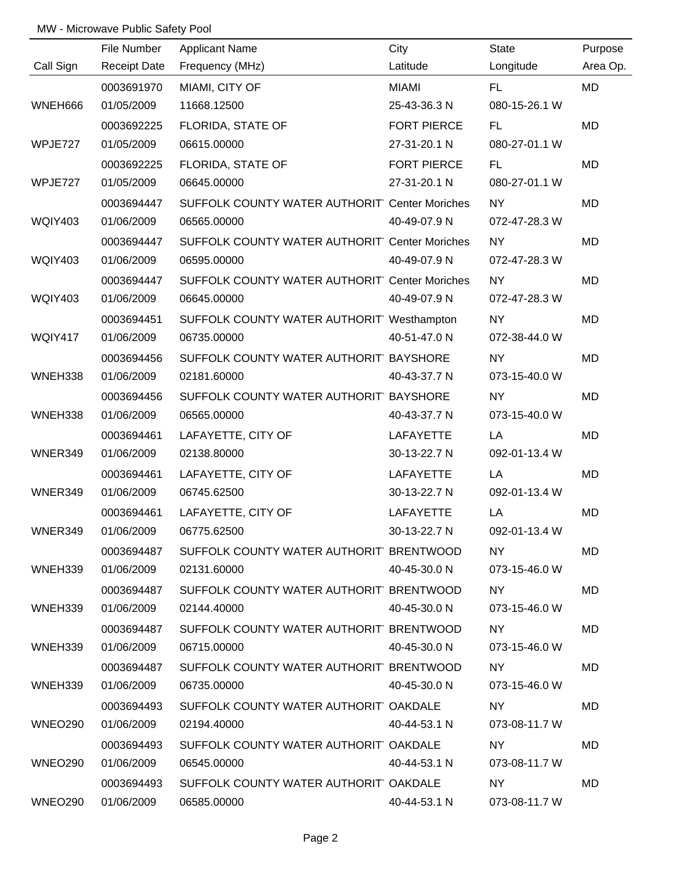|                | File Number         | <b>Applicant Name</b>                         | City               | <b>State</b>  | Purpose   |
|----------------|---------------------|-----------------------------------------------|--------------------|---------------|-----------|
| Call Sign      | <b>Receipt Date</b> | Frequency (MHz)                               | Latitude           | Longitude     | Area Op.  |
|                | 0003691970          | MIAMI, CITY OF                                | <b>MIAMI</b>       | FL.           | <b>MD</b> |
| WNEH666        | 01/05/2009          | 11668.12500                                   | 25-43-36.3 N       | 080-15-26.1 W |           |
|                | 0003692225          | FLORIDA, STATE OF                             | <b>FORT PIERCE</b> | FL.           | <b>MD</b> |
| WPJE727        | 01/05/2009          | 06615.00000                                   | 27-31-20.1 N       | 080-27-01.1 W |           |
|                | 0003692225          | FLORIDA, STATE OF                             | <b>FORT PIERCE</b> | FL.           | <b>MD</b> |
| WPJE727        | 01/05/2009          | 06645.00000                                   | 27-31-20.1 N       | 080-27-01.1 W |           |
|                | 0003694447          | SUFFOLK COUNTY WATER AUTHORIT Center Moriches |                    | <b>NY</b>     | <b>MD</b> |
| <b>WQIY403</b> | 01/06/2009          | 06565.00000                                   | 40-49-07.9 N       | 072-47-28.3 W |           |
|                | 0003694447          | SUFFOLK COUNTY WATER AUTHORIT Center Moriches |                    | <b>NY</b>     | MD        |
| <b>WQIY403</b> | 01/06/2009          | 06595.00000                                   | 40-49-07.9 N       | 072-47-28.3 W |           |
|                | 0003694447          | SUFFOLK COUNTY WATER AUTHORIT Center Moriches |                    | <b>NY</b>     | MD        |
| <b>WQIY403</b> | 01/06/2009          | 06645.00000                                   | 40-49-07.9 N       | 072-47-28.3 W |           |
|                | 0003694451          | SUFFOLK COUNTY WATER AUTHORIT' Westhampton    |                    | NY            | MD        |
| WQIY417        | 01/06/2009          | 06735.00000                                   | 40-51-47.0 N       | 072-38-44.0 W |           |
|                | 0003694456          | SUFFOLK COUNTY WATER AUTHORIT BAYSHORE        |                    | <b>NY</b>     | MD        |
| WNEH338        | 01/06/2009          | 02181.60000                                   | 40-43-37.7 N       | 073-15-40.0 W |           |
|                | 0003694456          | SUFFOLK COUNTY WATER AUTHORIT BAYSHORE        |                    | NY            | MD        |
| WNEH338        | 01/06/2009          | 06565.00000                                   | 40-43-37.7 N       | 073-15-40.0 W |           |
|                | 0003694461          | LAFAYETTE, CITY OF                            | <b>LAFAYETTE</b>   | LA            | MD        |
| WNER349        | 01/06/2009          | 02138.80000                                   | 30-13-22.7 N       | 092-01-13.4 W |           |
|                | 0003694461          | LAFAYETTE, CITY OF                            | <b>LAFAYETTE</b>   | LA            | MD        |
| WNER349        | 01/06/2009          | 06745.62500                                   | 30-13-22.7 N       | 092-01-13.4 W |           |
|                | 0003694461          | LAFAYETTE, CITY OF                            | <b>LAFAYETTE</b>   | LA            | MD        |
| WNER349        | 01/06/2009          | 06775.62500                                   | 30-13-22.7 N       | 092-01-13.4 W |           |
|                | 0003694487          | SUFFOLK COUNTY WATER AUTHORIT BRENTWOOD       |                    | NY .          | MD        |
| WNEH339        | 01/06/2009          | 02131.60000                                   | 40-45-30.0 N       | 073-15-46.0 W |           |
|                | 0003694487          | SUFFOLK COUNTY WATER AUTHORIT BRENTWOOD       |                    | NY I          | MD.       |
| WNEH339        | 01/06/2009          | 02144.40000                                   | 40-45-30.0 N       | 073-15-46.0 W |           |
|                | 0003694487          | SUFFOLK COUNTY WATER AUTHORIT BRENTWOOD       |                    | NY .          | MD.       |
| WNEH339        | 01/06/2009          | 06715.00000                                   | 40-45-30.0 N       | 073-15-46.0 W |           |
|                | 0003694487          | SUFFOLK COUNTY WATER AUTHORIT BRENTWOOD       |                    | NY .          | MD.       |
| WNEH339        | 01/06/2009          | 06735.00000                                   | 40-45-30.0 N       | 073-15-46.0 W |           |
|                | 0003694493          | SUFFOLK COUNTY WATER AUTHORIT OAKDALE         |                    | NY .          | MD.       |
| WNEO290        | 01/06/2009          | 02194.40000                                   | 40-44-53.1 N       | 073-08-11.7 W |           |
|                | 0003694493          | SUFFOLK COUNTY WATER AUTHORIT OAKDALE         |                    | NY.           | MD.       |
| WNEO290        | 01/06/2009          | 06545.00000                                   | 40-44-53.1 N       | 073-08-11.7 W |           |
|                | 0003694493          | SUFFOLK COUNTY WATER AUTHORIT OAKDALE         |                    | NY.           | <b>MD</b> |
| WNEO290        | 01/06/2009          | 06585.00000                                   | 40-44-53.1 N       | 073-08-11.7 W |           |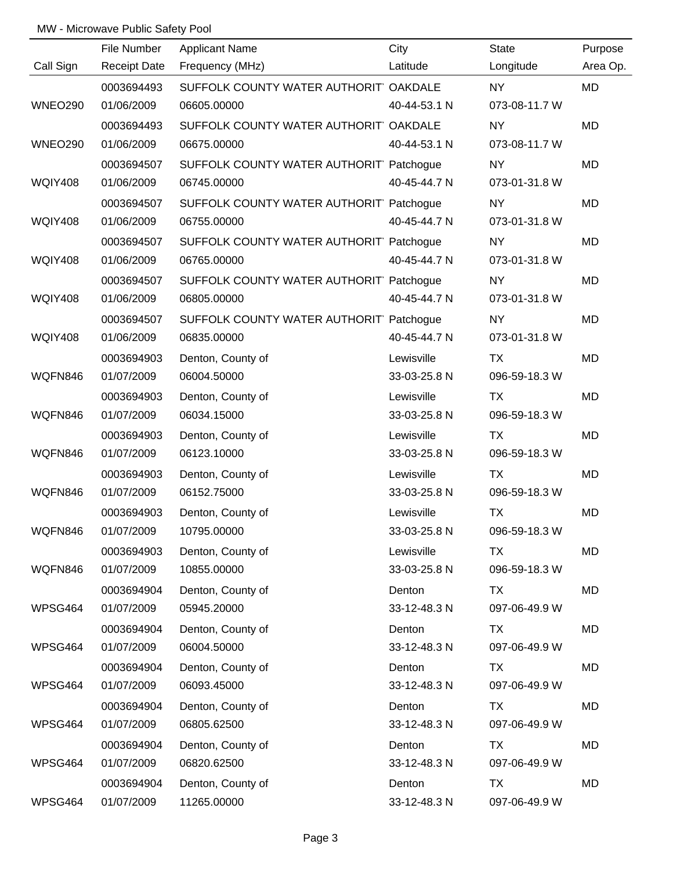|                | File Number         | <b>Applicant Name</b>                   | City         | <b>State</b>  | Purpose   |
|----------------|---------------------|-----------------------------------------|--------------|---------------|-----------|
| Call Sign      | <b>Receipt Date</b> | Frequency (MHz)                         | Latitude     | Longitude     | Area Op.  |
|                | 0003694493          | SUFFOLK COUNTY WATER AUTHORIT OAKDALE   |              | <b>NY</b>     | MD        |
| <b>WNEO290</b> | 01/06/2009          | 06605.00000                             | 40-44-53.1 N | 073-08-11.7 W |           |
|                | 0003694493          | SUFFOLK COUNTY WATER AUTHORIT OAKDALE   |              | <b>NY</b>     | <b>MD</b> |
| <b>WNEO290</b> | 01/06/2009          | 06675.00000                             | 40-44-53.1 N | 073-08-11.7 W |           |
|                | 0003694507          | SUFFOLK COUNTY WATER AUTHORIT Patchogue |              | <b>NY</b>     | MD        |
| <b>WQIY408</b> | 01/06/2009          | 06745.00000                             | 40-45-44.7 N | 073-01-31.8 W |           |
|                | 0003694507          | SUFFOLK COUNTY WATER AUTHORIT Patchogue |              | <b>NY</b>     | MD        |
| <b>WQIY408</b> | 01/06/2009          | 06755.00000                             | 40-45-44.7 N | 073-01-31.8 W |           |
|                | 0003694507          | SUFFOLK COUNTY WATER AUTHORIT Patchogue |              | <b>NY</b>     | MD        |
| <b>WQIY408</b> | 01/06/2009          | 06765.00000                             | 40-45-44.7 N | 073-01-31.8 W |           |
|                | 0003694507          | SUFFOLK COUNTY WATER AUTHORIT Patchogue |              | <b>NY</b>     | MD        |
| <b>WQIY408</b> | 01/06/2009          | 06805.00000                             | 40-45-44.7 N | 073-01-31.8 W |           |
|                | 0003694507          | SUFFOLK COUNTY WATER AUTHORIT Patchogue |              | <b>NY</b>     | MD        |
| <b>WQIY408</b> | 01/06/2009          | 06835.00000                             | 40-45-44.7 N | 073-01-31.8 W |           |
|                | 0003694903          | Denton, County of                       | Lewisville   | TX            | MD        |
| WQFN846        | 01/07/2009          | 06004.50000                             | 33-03-25.8 N | 096-59-18.3 W |           |
|                | 0003694903          | Denton, County of                       | Lewisville   | <b>TX</b>     | MD        |
| WQFN846        | 01/07/2009          | 06034.15000                             | 33-03-25.8 N | 096-59-18.3 W |           |
|                | 0003694903          | Denton, County of                       | Lewisville   | <b>TX</b>     | MD        |
| WQFN846        | 01/07/2009          | 06123.10000                             | 33-03-25.8 N | 096-59-18.3 W |           |
|                | 0003694903          | Denton, County of                       | Lewisville   | <b>TX</b>     | MD        |
| WQFN846        | 01/07/2009          | 06152.75000                             | 33-03-25.8 N | 096-59-18.3 W |           |
|                | 0003694903          | Denton, County of                       | Lewisville   | <b>TX</b>     | MD        |
| WQFN846        | 01/07/2009          | 10795.00000                             | 33-03-25.8 N | 096-59-18.3 W |           |
|                | 0003694903          | Denton, County of                       | Lewisville   | TX            | MD        |
| WQFN846        | 01/07/2009          | 10855.00000                             | 33-03-25.8 N | 096-59-18.3 W |           |
|                | 0003694904          | Denton, County of                       | Denton       | TX            | MD        |
| WPSG464        | 01/07/2009          | 05945.20000                             | 33-12-48.3 N | 097-06-49.9 W |           |
|                | 0003694904          | Denton, County of                       | Denton       | TX            | MD        |
| WPSG464        | 01/07/2009          | 06004.50000                             | 33-12-48.3 N | 097-06-49.9 W |           |
|                | 0003694904          | Denton, County of                       | Denton       | TX            | MD        |
| WPSG464        | 01/07/2009          | 06093.45000                             | 33-12-48.3 N | 097-06-49.9 W |           |
|                | 0003694904          | Denton, County of                       | Denton       | TX            | MD        |
| WPSG464        | 01/07/2009          | 06805.62500                             | 33-12-48.3 N | 097-06-49.9 W |           |
|                | 0003694904          | Denton, County of                       | Denton       | <b>TX</b>     | MD        |
| WPSG464        | 01/07/2009          | 06820.62500                             | 33-12-48.3 N | 097-06-49.9 W |           |
|                | 0003694904          | Denton, County of                       | Denton       | <b>TX</b>     | MD        |
| WPSG464        | 01/07/2009          | 11265.00000                             | 33-12-48.3 N | 097-06-49.9 W |           |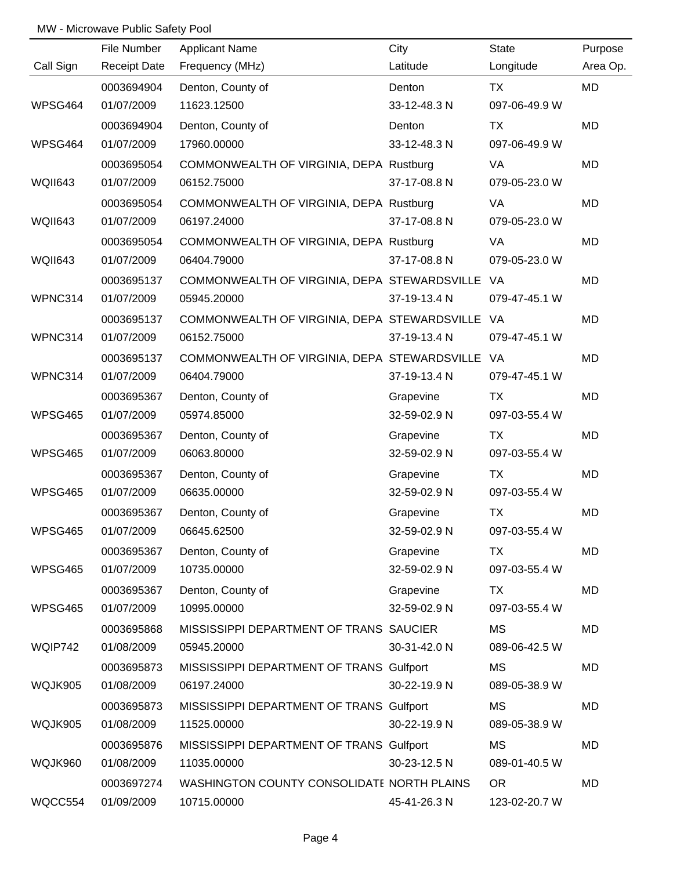|                | File Number         | <b>Applicant Name</b>                           | City         | State         | Purpose  |
|----------------|---------------------|-------------------------------------------------|--------------|---------------|----------|
| Call Sign      | <b>Receipt Date</b> | Frequency (MHz)                                 | Latitude     | Longitude     | Area Op. |
|                | 0003694904          | Denton, County of                               | Denton       | TX            | MD       |
| WPSG464        | 01/07/2009          | 11623.12500                                     | 33-12-48.3 N | 097-06-49.9 W |          |
|                | 0003694904          | Denton, County of                               | Denton       | TX            | MD       |
| WPSG464        | 01/07/2009          | 17960.00000                                     | 33-12-48.3 N | 097-06-49.9 W |          |
|                | 0003695054          | COMMONWEALTH OF VIRGINIA, DEPA Rustburg         |              | VA            | MD       |
| WQII643        | 01/07/2009          | 06152.75000                                     | 37-17-08.8 N | 079-05-23.0 W |          |
|                | 0003695054          | COMMONWEALTH OF VIRGINIA, DEPA Rustburg         |              | VA            | MD       |
| <b>WQII643</b> | 01/07/2009          | 06197.24000                                     | 37-17-08.8 N | 079-05-23.0 W |          |
|                | 0003695054          | COMMONWEALTH OF VIRGINIA, DEPA Rustburg         |              | VA            | MD       |
| <b>WQII643</b> | 01/07/2009          | 06404.79000                                     | 37-17-08.8 N | 079-05-23.0 W |          |
|                | 0003695137          | COMMONWEALTH OF VIRGINIA, DEPA STEWARDSVILLE VA |              |               | MD       |
| WPNC314        | 01/07/2009          | 05945.20000                                     | 37-19-13.4 N | 079-47-45.1 W |          |
|                | 0003695137          | COMMONWEALTH OF VIRGINIA, DEPA STEWARDSVILLE VA |              |               | MD       |
| WPNC314        | 01/07/2009          | 06152.75000                                     | 37-19-13.4 N | 079-47-45.1 W |          |
|                | 0003695137          | COMMONWEALTH OF VIRGINIA, DEPA STEWARDSVILLE VA |              |               | MD       |
| WPNC314        | 01/07/2009          | 06404.79000                                     | 37-19-13.4 N | 079-47-45.1 W |          |
|                | 0003695367          | Denton, County of                               | Grapevine    | TX            | MD       |
| WPSG465        | 01/07/2009          | 05974.85000                                     | 32-59-02.9 N | 097-03-55.4 W |          |
|                | 0003695367          | Denton, County of                               | Grapevine    | TX            | MD       |
| WPSG465        | 01/07/2009          | 06063.80000                                     | 32-59-02.9 N | 097-03-55.4 W |          |
|                | 0003695367          | Denton, County of                               | Grapevine    | <b>TX</b>     | MD       |
| WPSG465        | 01/07/2009          | 06635.00000                                     | 32-59-02.9 N | 097-03-55.4 W |          |
|                | 0003695367          | Denton, County of                               | Grapevine    | <b>TX</b>     | MD       |
| WPSG465        | 01/07/2009          | 06645.62500                                     | 32-59-02.9 N | 097-03-55.4 W |          |
|                | 0003695367          | Denton, County of                               | Grapevine    | TX            | MD       |
| WPSG465        | 01/07/2009          | 10735.00000                                     | 32-59-02.9 N | 097-03-55.4 W |          |
|                | 0003695367          | Denton, County of                               | Grapevine    | TX            | MD       |
| WPSG465        | 01/07/2009          | 10995.00000                                     | 32-59-02.9 N | 097-03-55.4 W |          |
|                | 0003695868          | MISSISSIPPI DEPARTMENT OF TRANS SAUCIER         |              | <b>MS</b>     | MD       |
| WQIP742        | 01/08/2009          | 05945.20000                                     | 30-31-42.0 N | 089-06-42.5 W |          |
|                | 0003695873          | MISSISSIPPI DEPARTMENT OF TRANS Gulfport        |              | <b>MS</b>     | MD       |
| WQJK905        | 01/08/2009          | 06197.24000                                     | 30-22-19.9 N | 089-05-38.9 W |          |
|                | 0003695873          | MISSISSIPPI DEPARTMENT OF TRANS Gulfport        |              | <b>MS</b>     | MD       |
| WQJK905        | 01/08/2009          | 11525.00000                                     | 30-22-19.9 N | 089-05-38.9 W |          |
|                | 0003695876          | MISSISSIPPI DEPARTMENT OF TRANS Gulfport        |              | <b>MS</b>     | MD       |
| WQJK960        | 01/08/2009          | 11035.00000                                     | 30-23-12.5 N | 089-01-40.5 W |          |
|                | 0003697274          | WASHINGTON COUNTY CONSOLIDATE NORTH PLAINS      |              | <b>OR</b>     | MD       |
| WQCC554        | 01/09/2009          | 10715.00000                                     | 45-41-26.3 N | 123-02-20.7 W |          |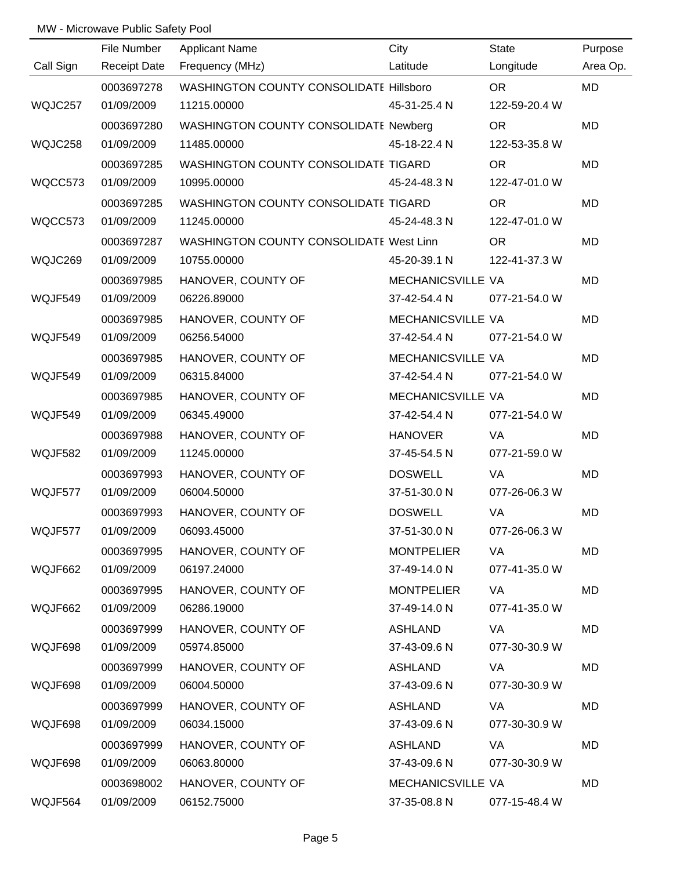|           | File Number         | <b>Applicant Name</b>                   | City              | <b>State</b>  | Purpose   |
|-----------|---------------------|-----------------------------------------|-------------------|---------------|-----------|
| Call Sign | <b>Receipt Date</b> | Frequency (MHz)                         | Latitude          | Longitude     | Area Op.  |
|           | 0003697278          | WASHINGTON COUNTY CONSOLIDATE Hillsboro |                   | <b>OR</b>     | <b>MD</b> |
| WQJC257   | 01/09/2009          | 11215.00000                             | 45-31-25.4 N      | 122-59-20.4 W |           |
|           | 0003697280          | WASHINGTON COUNTY CONSOLIDATE Newberg   |                   | <b>OR</b>     | <b>MD</b> |
| WQJC258   | 01/09/2009          | 11485.00000                             | 45-18-22.4 N      | 122-53-35.8 W |           |
|           | 0003697285          | WASHINGTON COUNTY CONSOLIDATE TIGARD    |                   | <b>OR</b>     | MD        |
| WQCC573   | 01/09/2009          | 10995.00000                             | 45-24-48.3 N      | 122-47-01.0 W |           |
|           | 0003697285          | WASHINGTON COUNTY CONSOLIDATE TIGARD    |                   | <b>OR</b>     | MD        |
| WQCC573   | 01/09/2009          | 11245.00000                             | 45-24-48.3 N      | 122-47-01.0 W |           |
|           | 0003697287          | WASHINGTON COUNTY CONSOLIDATE West Linn |                   | <b>OR</b>     | MD        |
| WQJC269   | 01/09/2009          | 10755.00000                             | 45-20-39.1 N      | 122-41-37.3 W |           |
|           | 0003697985          | HANOVER, COUNTY OF                      | MECHANICSVILLE VA |               | MD        |
| WQJF549   | 01/09/2009          | 06226.89000                             | 37-42-54.4 N      | 077-21-54.0 W |           |
|           | 0003697985          | HANOVER, COUNTY OF                      | MECHANICSVILLE VA |               | MD        |
| WQJF549   | 01/09/2009          | 06256.54000                             | 37-42-54.4 N      | 077-21-54.0 W |           |
|           | 0003697985          | HANOVER, COUNTY OF                      | MECHANICSVILLE VA |               | MD        |
| WQJF549   | 01/09/2009          | 06315.84000                             | 37-42-54.4 N      | 077-21-54.0 W |           |
|           | 0003697985          | HANOVER, COUNTY OF                      | MECHANICSVILLE VA |               | MD        |
| WQJF549   | 01/09/2009          | 06345.49000                             | 37-42-54.4 N      | 077-21-54.0 W |           |
|           | 0003697988          | HANOVER, COUNTY OF                      | <b>HANOVER</b>    | VA            | MD        |
| WQJF582   | 01/09/2009          | 11245.00000                             | 37-45-54.5 N      | 077-21-59.0 W |           |
|           | 0003697993          | HANOVER, COUNTY OF                      | <b>DOSWELL</b>    | VA            | <b>MD</b> |
| WQJF577   | 01/09/2009          | 06004.50000                             | 37-51-30.0 N      | 077-26-06.3 W |           |
|           | 0003697993          | HANOVER, COUNTY OF                      | <b>DOSWELL</b>    | VA            | MD        |
| WQJF577   | 01/09/2009          | 06093.45000                             | 37-51-30.0 N      | 077-26-06.3 W |           |
|           | 0003697995          | HANOVER, COUNTY OF                      | <b>MONTPELIER</b> | VA            | MD        |
| WQJF662   | 01/09/2009          | 06197.24000                             | 37-49-14.0 N      | 077-41-35.0 W |           |
|           | 0003697995          | HANOVER, COUNTY OF                      | <b>MONTPELIER</b> | VA.           | MD        |
| WQJF662   | 01/09/2009          | 06286.19000                             | 37-49-14.0 N      | 077-41-35.0 W |           |
|           | 0003697999          | HANOVER, COUNTY OF                      | <b>ASHLAND</b>    | VA            | MD        |
| WQJF698   | 01/09/2009          | 05974.85000                             | 37-43-09.6 N      | 077-30-30.9 W |           |
|           | 0003697999          | HANOVER, COUNTY OF                      | <b>ASHLAND</b>    | VA            | MD        |
| WQJF698   | 01/09/2009          | 06004.50000                             | 37-43-09.6 N      | 077-30-30.9 W |           |
|           | 0003697999          | HANOVER, COUNTY OF                      | <b>ASHLAND</b>    | VA            | MD        |
| WQJF698   | 01/09/2009          | 06034.15000                             | 37-43-09.6 N      | 077-30-30.9 W |           |
|           | 0003697999          | HANOVER, COUNTY OF                      | ASHLAND           | VA            | MD        |
| WQJF698   | 01/09/2009          | 06063.80000                             | 37-43-09.6 N      | 077-30-30.9 W |           |
|           | 0003698002          | HANOVER, COUNTY OF                      | MECHANICSVILLE VA |               | MD        |
| WQJF564   | 01/09/2009          | 06152.75000                             | 37-35-08.8 N      | 077-15-48.4 W |           |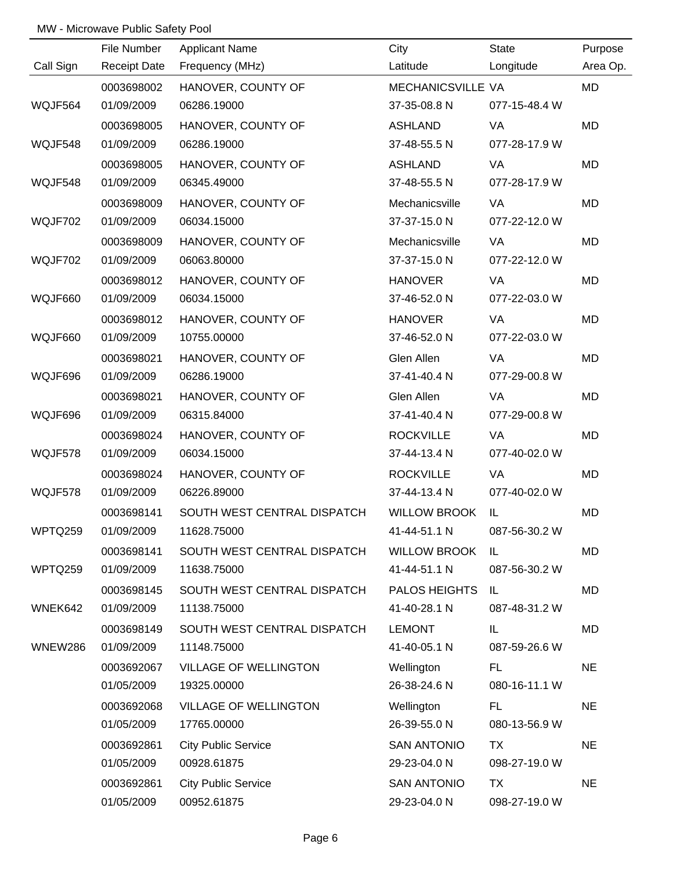|           | File Number         | <b>Applicant Name</b>        | City                 | State         | Purpose   |
|-----------|---------------------|------------------------------|----------------------|---------------|-----------|
| Call Sign | <b>Receipt Date</b> | Frequency (MHz)              | Latitude             | Longitude     | Area Op.  |
|           | 0003698002          | HANOVER, COUNTY OF           | MECHANICSVILLE VA    |               | <b>MD</b> |
| WQJF564   | 01/09/2009          | 06286.19000                  | 37-35-08.8 N         | 077-15-48.4 W |           |
|           | 0003698005          | HANOVER, COUNTY OF           | <b>ASHLAND</b>       | VA            | <b>MD</b> |
| WQJF548   | 01/09/2009          | 06286.19000                  | 37-48-55.5 N         | 077-28-17.9 W |           |
|           | 0003698005          | HANOVER, COUNTY OF           | <b>ASHLAND</b>       | VA            | MD        |
| WQJF548   | 01/09/2009          | 06345.49000                  | 37-48-55.5 N         | 077-28-17.9 W |           |
|           | 0003698009          | HANOVER, COUNTY OF           | Mechanicsville       | VA            | MD        |
| WQJF702   | 01/09/2009          | 06034.15000                  | 37-37-15.0 N         | 077-22-12.0 W |           |
|           | 0003698009          | HANOVER, COUNTY OF           | Mechanicsville       | VA            | MD        |
| WQJF702   | 01/09/2009          | 06063.80000                  | 37-37-15.0 N         | 077-22-12.0 W |           |
|           | 0003698012          | HANOVER, COUNTY OF           | <b>HANOVER</b>       | VA            | MD        |
| WQJF660   | 01/09/2009          | 06034.15000                  | 37-46-52.0 N         | 077-22-03.0 W |           |
|           | 0003698012          | HANOVER, COUNTY OF           | <b>HANOVER</b>       | VA            | MD        |
| WQJF660   | 01/09/2009          | 10755.00000                  | 37-46-52.0 N         | 077-22-03.0 W |           |
|           | 0003698021          | HANOVER, COUNTY OF           | Glen Allen           | VA            | MD        |
| WQJF696   | 01/09/2009          | 06286.19000                  | 37-41-40.4 N         | 077-29-00.8 W |           |
|           | 0003698021          | HANOVER, COUNTY OF           | Glen Allen           | VA            | MD        |
| WQJF696   | 01/09/2009          | 06315.84000                  | 37-41-40.4 N         | 077-29-00.8 W |           |
|           | 0003698024          | HANOVER, COUNTY OF           | <b>ROCKVILLE</b>     | VA            | MD        |
| WQJF578   | 01/09/2009          | 06034.15000                  | 37-44-13.4 N         | 077-40-02.0 W |           |
|           | 0003698024          | HANOVER, COUNTY OF           | <b>ROCKVILLE</b>     | VA            | MD        |
| WQJF578   | 01/09/2009          | 06226.89000                  | 37-44-13.4 N         | 077-40-02.0 W |           |
|           | 0003698141          | SOUTH WEST CENTRAL DISPATCH  | <b>WILLOW BROOK</b>  | IL            | MD        |
| WPTQ259   | 01/09/2009          | 11628.75000                  | 41-44-51.1 N         | 087-56-30.2 W |           |
|           | 0003698141          | SOUTH WEST CENTRAL DISPATCH  | <b>WILLOW BROOK</b>  | IL            | MD        |
| WPTQ259   | 01/09/2009          | 11638.75000                  | 41-44-51.1 N         | 087-56-30.2 W |           |
|           | 0003698145          | SOUTH WEST CENTRAL DISPATCH  | <b>PALOS HEIGHTS</b> | IL.           | MD        |
| WNEK642   | 01/09/2009          | 11138.75000                  | 41-40-28.1 N         | 087-48-31.2 W |           |
|           | 0003698149          | SOUTH WEST CENTRAL DISPATCH  | <b>LEMONT</b>        | IL            | MD        |
| WNEW286   | 01/09/2009          | 11148.75000                  | 41-40-05.1 N         | 087-59-26.6 W |           |
|           | 0003692067          | <b>VILLAGE OF WELLINGTON</b> | Wellington           | FL.           | <b>NE</b> |
|           | 01/05/2009          | 19325.00000                  | 26-38-24.6 N         | 080-16-11.1 W |           |
|           | 0003692068          | <b>VILLAGE OF WELLINGTON</b> | Wellington           | FL.           | <b>NE</b> |
|           | 01/05/2009          | 17765.00000                  | 26-39-55.0 N         | 080-13-56.9 W |           |
|           | 0003692861          | <b>City Public Service</b>   | <b>SAN ANTONIO</b>   | TX            | <b>NE</b> |
|           | 01/05/2009          | 00928.61875                  | 29-23-04.0 N         | 098-27-19.0 W |           |
|           | 0003692861          | <b>City Public Service</b>   | <b>SAN ANTONIO</b>   | TX            | <b>NE</b> |
|           | 01/05/2009          | 00952.61875                  | 29-23-04.0 N         | 098-27-19.0 W |           |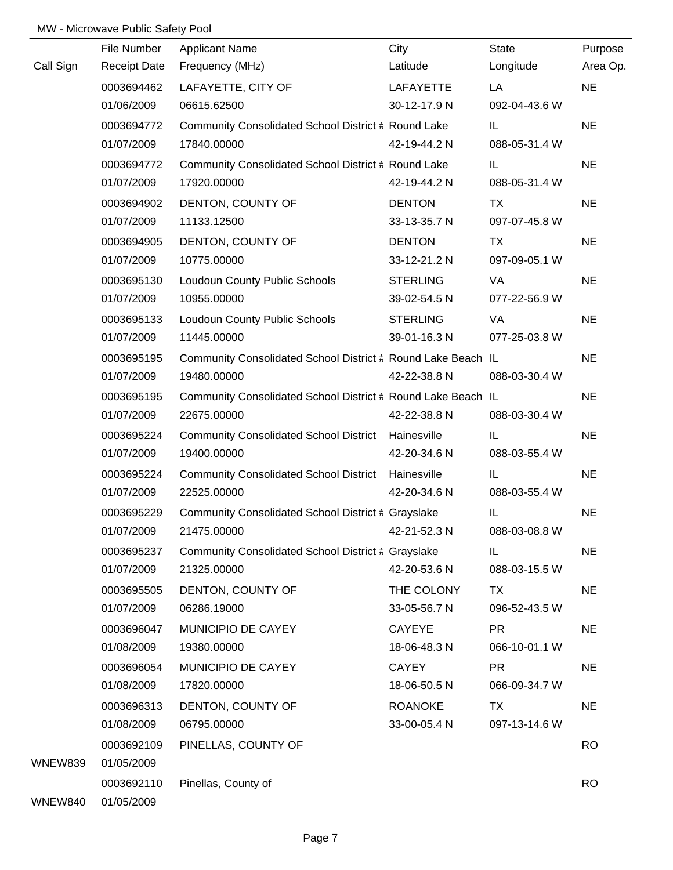|           | File Number         | <b>Applicant Name</b>                                        | City             | State         | Purpose   |
|-----------|---------------------|--------------------------------------------------------------|------------------|---------------|-----------|
| Call Sign | <b>Receipt Date</b> | Frequency (MHz)                                              | Latitude         | Longitude     | Area Op.  |
|           | 0003694462          | LAFAYETTE, CITY OF                                           | <b>LAFAYETTE</b> | LA            | <b>NE</b> |
|           | 01/06/2009          | 06615.62500                                                  | 30-12-17.9 N     | 092-04-43.6 W |           |
|           | 0003694772          | Community Consolidated School District # Round Lake          |                  | IL.           | <b>NE</b> |
|           | 01/07/2009          | 17840.00000                                                  | 42-19-44.2 N     | 088-05-31.4 W |           |
|           | 0003694772          | Community Consolidated School District # Round Lake          |                  | IL.           | <b>NE</b> |
|           | 01/07/2009          | 17920.00000                                                  | 42-19-44.2 N     | 088-05-31.4 W |           |
|           | 0003694902          | DENTON, COUNTY OF                                            | <b>DENTON</b>    | <b>TX</b>     | <b>NE</b> |
|           | 01/07/2009          | 11133.12500                                                  | 33-13-35.7 N     | 097-07-45.8 W |           |
|           | 0003694905          | DENTON, COUNTY OF                                            | <b>DENTON</b>    | TX            | <b>NE</b> |
|           | 01/07/2009          | 10775.00000                                                  | 33-12-21.2 N     | 097-09-05.1 W |           |
|           | 0003695130          | Loudoun County Public Schools                                | <b>STERLING</b>  | VA            | <b>NE</b> |
|           | 01/07/2009          | 10955.00000                                                  | 39-02-54.5 N     | 077-22-56.9 W |           |
|           | 0003695133          | Loudoun County Public Schools                                | <b>STERLING</b>  | VA            | <b>NE</b> |
|           | 01/07/2009          | 11445.00000                                                  | 39-01-16.3 N     | 077-25-03.8 W |           |
|           | 0003695195          | Community Consolidated School District # Round Lake Beach IL |                  |               | <b>NE</b> |
|           | 01/07/2009          | 19480.00000                                                  | 42-22-38.8 N     | 088-03-30.4 W |           |
|           | 0003695195          | Community Consolidated School District # Round Lake Beach IL |                  |               | <b>NE</b> |
|           | 01/07/2009          | 22675.00000                                                  | 42-22-38.8 N     | 088-03-30.4 W |           |
|           | 0003695224          | Community Consolidated School District Hainesville           |                  | IL            | <b>NE</b> |
|           | 01/07/2009          | 19400.00000                                                  | 42-20-34.6 N     | 088-03-55.4 W |           |
|           | 0003695224          | Community Consolidated School District Hainesville           |                  | IL            | <b>NE</b> |
|           | 01/07/2009          | 22525.00000                                                  | 42-20-34.6 N     | 088-03-55.4 W |           |
|           | 0003695229          | Community Consolidated School District # Grayslake           |                  | IL            | <b>NE</b> |
|           | 01/07/2009          | 21475.00000                                                  | 42-21-52.3 N     | 088-03-08.8 W |           |
|           | 0003695237          | Community Consolidated School District # Grayslake           |                  | IL.           | <b>NE</b> |
|           | 01/07/2009          | 21325.00000                                                  | 42-20-53.6 N     | 088-03-15.5 W |           |
|           | 0003695505          | DENTON, COUNTY OF                                            | THE COLONY       | TX            | <b>NE</b> |
|           | 01/07/2009          | 06286.19000                                                  | 33-05-56.7 N     | 096-52-43.5 W |           |
|           | 0003696047          | MUNICIPIO DE CAYEY                                           | <b>CAYEYE</b>    | <b>PR</b>     | <b>NE</b> |
|           | 01/08/2009          | 19380.00000                                                  | 18-06-48.3 N     | 066-10-01.1 W |           |
|           | 0003696054          | MUNICIPIO DE CAYEY                                           | <b>CAYEY</b>     | <b>PR</b>     | <b>NE</b> |
|           | 01/08/2009          | 17820.00000                                                  | 18-06-50.5 N     | 066-09-34.7 W |           |
|           | 0003696313          | DENTON, COUNTY OF                                            | <b>ROANOKE</b>   | <b>TX</b>     | <b>NE</b> |
|           | 01/08/2009          | 06795.00000                                                  | 33-00-05.4 N     | 097-13-14.6 W |           |
|           | 0003692109          | PINELLAS, COUNTY OF                                          |                  |               | <b>RO</b> |
| WNEW839   | 01/05/2009          |                                                              |                  |               |           |
|           | 0003692110          | Pinellas, County of                                          |                  |               | <b>RO</b> |
| WNEW840   | 01/05/2009          |                                                              |                  |               |           |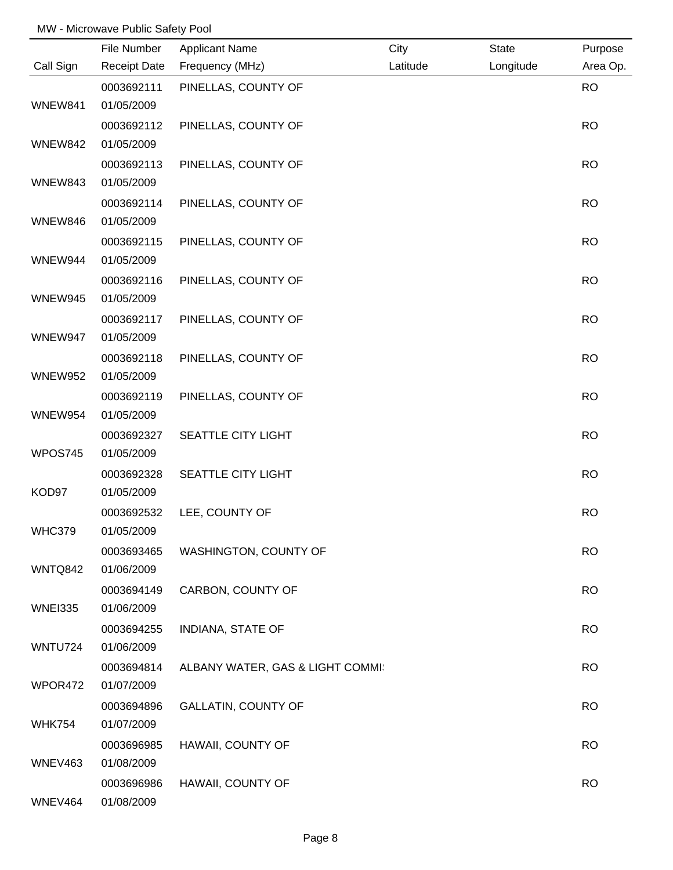|                | File Number              | <b>Applicant Name</b>            | City     | <b>State</b> | Purpose   |
|----------------|--------------------------|----------------------------------|----------|--------------|-----------|
| Call Sign      | <b>Receipt Date</b>      | Frequency (MHz)                  | Latitude | Longitude    | Area Op.  |
|                | 0003692111               | PINELLAS, COUNTY OF              |          |              | <b>RO</b> |
| WNEW841        | 01/05/2009               |                                  |          |              |           |
|                | 0003692112               | PINELLAS, COUNTY OF              |          |              | <b>RO</b> |
| WNEW842        | 01/05/2009               |                                  |          |              |           |
|                | 0003692113               | PINELLAS, COUNTY OF              |          |              | <b>RO</b> |
| WNEW843        | 01/05/2009               |                                  |          |              |           |
|                | 0003692114               | PINELLAS, COUNTY OF              |          |              | <b>RO</b> |
| WNEW846        | 01/05/2009               |                                  |          |              |           |
|                | 0003692115               | PINELLAS, COUNTY OF              |          |              | <b>RO</b> |
| WNEW944        | 01/05/2009               |                                  |          |              |           |
|                | 0003692116               | PINELLAS, COUNTY OF              |          |              | <b>RO</b> |
| WNEW945        | 01/05/2009               |                                  |          |              |           |
|                | 0003692117               | PINELLAS, COUNTY OF              |          |              | <b>RO</b> |
| WNEW947        | 01/05/2009               |                                  |          |              |           |
|                | 0003692118               | PINELLAS, COUNTY OF              |          |              | <b>RO</b> |
| WNEW952        | 01/05/2009               |                                  |          |              |           |
|                | 0003692119               | PINELLAS, COUNTY OF              |          |              | <b>RO</b> |
| WNEW954        | 01/05/2009               |                                  |          |              |           |
|                | 0003692327               | SEATTLE CITY LIGHT               |          |              | <b>RO</b> |
| WPOS745        | 01/05/2009               |                                  |          |              |           |
|                | 0003692328               | SEATTLE CITY LIGHT               |          |              | <b>RO</b> |
| KOD97          | 01/05/2009               |                                  |          |              |           |
|                | 0003692532               | LEE, COUNTY OF                   |          |              | <b>RO</b> |
| <b>WHC379</b>  | 01/05/2009               |                                  |          |              |           |
|                | 0003693465               | <b>WASHINGTON, COUNTY OF</b>     |          |              | <b>RO</b> |
| WNTQ842        | 01/06/2009               |                                  |          |              |           |
|                | 0003694149               | CARBON, COUNTY OF                |          |              | <b>RO</b> |
| <b>WNEI335</b> | 01/06/2009               |                                  |          |              |           |
|                | 0003694255               | <b>INDIANA, STATE OF</b>         |          |              | <b>RO</b> |
| <b>WNTU724</b> | 01/06/2009               |                                  |          |              |           |
| WPOR472        | 0003694814<br>01/07/2009 | ALBANY WATER, GAS & LIGHT COMMI: |          |              | <b>RO</b> |
|                |                          |                                  |          |              |           |
| <b>WHK754</b>  | 0003694896<br>01/07/2009 | <b>GALLATIN, COUNTY OF</b>       |          |              | <b>RO</b> |
|                | 0003696985               |                                  |          |              | <b>RO</b> |
| WNEV463        | 01/08/2009               | HAWAII, COUNTY OF                |          |              |           |
|                | 0003696986               | HAWAII, COUNTY OF                |          |              | <b>RO</b> |
| WNEV464        | 01/08/2009               |                                  |          |              |           |